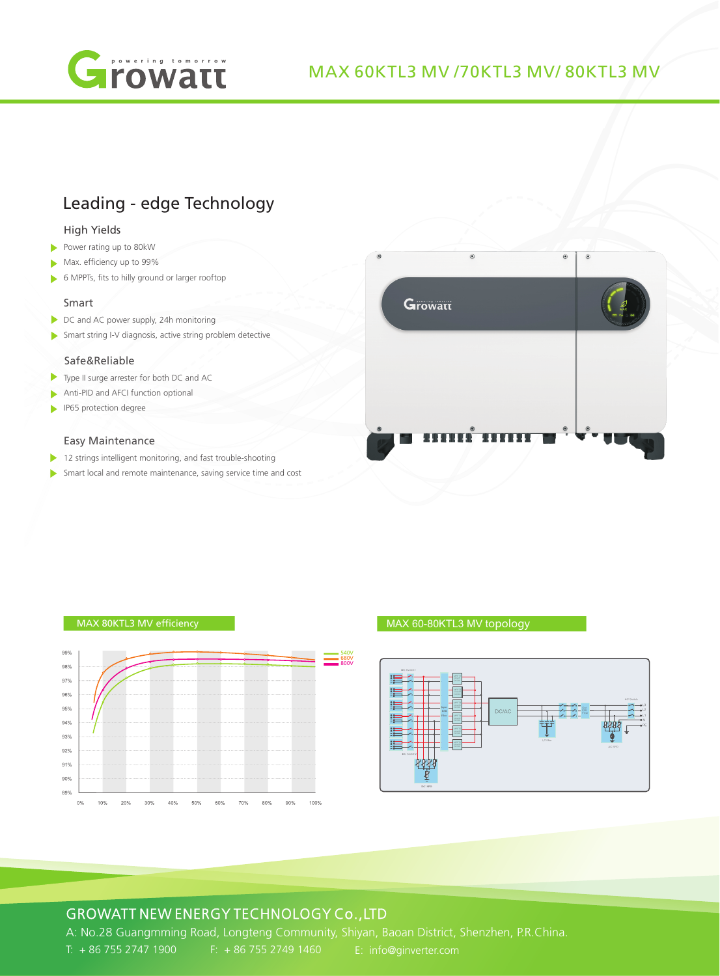

## MAX 60KTL3 MV /70KTL3 MV/ 80KTL3 MV

# Leading - edge Technology

#### High Yields

- Power rating up to 80kW
- Max. efficiency up to 99%
- 6 MPPTs, fits to hilly ground or larger rooftop

#### Smart

- DC and AC power supply, 24h monitoring
- Smart string I-V diagnosis, active string problem detective

#### Safe&Reliable

- Type II surge arrester for both DC and AC
- Anti-PID and AFCI function optional
- **IP65** protection degree

#### Easy Maintenance

- 12 strings intelligent monitoring, and fast trouble-shooting
- Smart local and remote maintenance, saving service time and cost



#### MAX 80KTL3 MV efficiency



MAX 60-80KTL3 MV topology



### GROWATT NEW ENERGY TECHNOLOGY Co.,LTD

A: No.28 Guangmming Road, Longteng Community, Shiyan, Baoan District, Shenzhen, P.R.China. T: + 86 755 2747 1900 F: + 86 755 2749 1460 E: info@ginverter.com